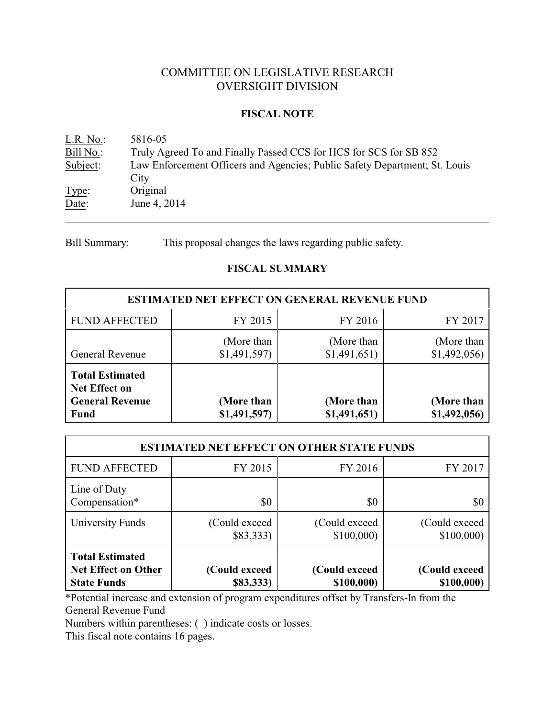# COMMITTEE ON LEGISLATIVE RESEARCH OVERSIGHT DIVISION

# **FISCAL NOTE**

<u>L.R. No.</u>: 5816-05<br>Bill No.: Truly Ag Truly Agreed To and Finally Passed CCS for HCS for SCS for SB 852 Subject: Law Enforcement Officers and Agencies; Public Safety Department; St. Louis **City** Type: Original Date: June 4, 2014

Bill Summary: This proposal changes the laws regarding public safety.

# **FISCAL SUMMARY**

| <b>ESTIMATED NET EFFECT ON GENERAL REVENUE FUND</b>                                     |                           |                            |                            |  |
|-----------------------------------------------------------------------------------------|---------------------------|----------------------------|----------------------------|--|
| <b>FUND AFFECTED</b>                                                                    | FY 2015                   | FY 2016                    | FY 2017                    |  |
| General Revenue                                                                         | (More than<br>\$1,491,597 | (More than<br>\$1,491,651) | (More than<br>\$1,492,056  |  |
| <b>Total Estimated</b><br><b>Net Effect on</b><br><b>General Revenue</b><br><b>Fund</b> | (More than<br>\$1,491,597 | (More than<br>\$1,491,651) | (More than<br>\$1,492,056) |  |

| <b>ESTIMATED NET EFFECT ON OTHER STATE FUNDS</b>                           |                            |                             |                             |  |
|----------------------------------------------------------------------------|----------------------------|-----------------------------|-----------------------------|--|
| <b>FUND AFFECTED</b>                                                       | FY 2015                    | FY 2016                     | FY 2017                     |  |
| Line of Duty<br>Compensation*                                              | \$0                        | \$0                         | \$0                         |  |
| University Funds                                                           | (Could exceed)<br>\$83,333 | (Could exceed)<br>\$100,000 | (Could exceed)<br>\$100,000 |  |
| <b>Total Estimated</b><br><b>Net Effect on Other</b><br><b>State Funds</b> | (Could exceed<br>\$83,333) | (Could exceed<br>\$100,000) | (Could exceed<br>\$100,000) |  |

\*Potential increase and extension of program expenditures offset by Transfers-In from the General Revenue Fund

Numbers within parentheses: ( ) indicate costs or losses.

This fiscal note contains 16 pages.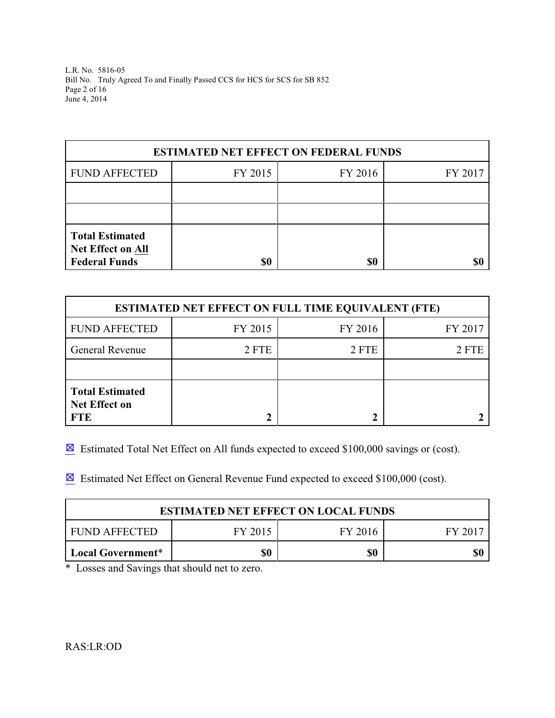L.R. No. 5816-05 Bill No. Truly Agreed To and Finally Passed CCS for HCS for SCS for SB 852 Page 2 of 16 June 4, 2014

| <b>ESTIMATED NET EFFECT ON FEDERAL FUNDS</b>                               |         |         |         |  |
|----------------------------------------------------------------------------|---------|---------|---------|--|
| <b>FUND AFFECTED</b>                                                       | FY 2015 | FY 2016 | FY 2017 |  |
|                                                                            |         |         |         |  |
|                                                                            |         |         |         |  |
| <b>Total Estimated</b><br><b>Net Effect on All</b><br><b>Federal Funds</b> | \$0     | \$0     |         |  |

| <b>ESTIMATED NET EFFECT ON FULL TIME EQUIVALENT (FTE)</b>    |         |         |         |  |
|--------------------------------------------------------------|---------|---------|---------|--|
| <b>FUND AFFECTED</b>                                         | FY 2015 | FY 2016 | FY 2017 |  |
| <b>General Revenue</b>                                       | 2 FTE   | 2 FTE   | 2 FTE   |  |
|                                                              |         |         |         |  |
| <b>Total Estimated</b><br><b>Net Effect on</b><br><b>FTE</b> |         |         |         |  |

 $\boxtimes$  Estimated Total Net Effect on All funds expected to exceed \$100,000 savings or (cost).

 $\boxtimes$  Estimated Net Effect on General Revenue Fund expected to exceed \$100,000 (cost).

| <b>ESTIMATED NET EFFECT ON LOCAL FUNDS</b> |         |         |         |
|--------------------------------------------|---------|---------|---------|
| FUND AFFECTED                              | FY 2015 | FY 2016 | FY 2017 |
| Local Government*                          | \$0     | \$0     |         |

\* Losses and Savings that should net to zero.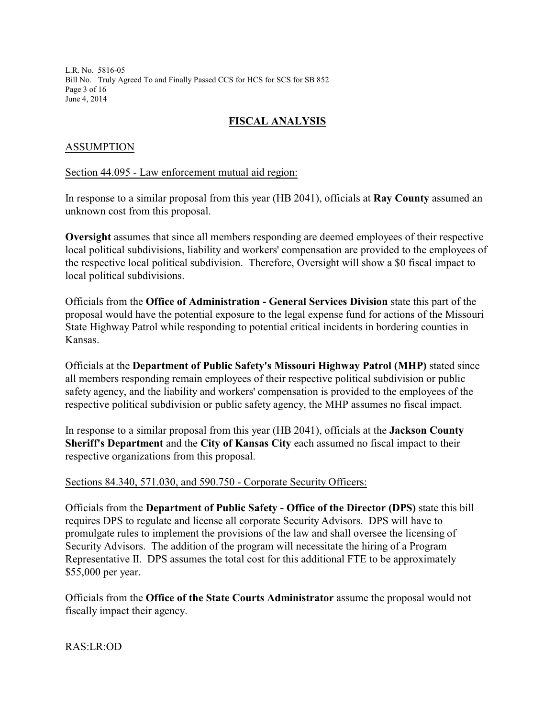L.R. No. 5816-05 Bill No. Truly Agreed To and Finally Passed CCS for HCS for SCS for SB 852 Page 3 of 16 June 4, 2014

# **FISCAL ANALYSIS**

# ASSUMPTION

### Section 44.095 - Law enforcement mutual aid region:

In response to a similar proposal from this year (HB 2041), officials at **Ray County** assumed an unknown cost from this proposal.

**Oversight** assumes that since all members responding are deemed employees of their respective local political subdivisions, liability and workers' compensation are provided to the employees of the respective local political subdivision. Therefore, Oversight will show a \$0 fiscal impact to local political subdivisions.

Officials from the **Office of Administration - General Services Division** state this part of the proposal would have the potential exposure to the legal expense fund for actions of the Missouri State Highway Patrol while responding to potential critical incidents in bordering counties in Kansas.

Officials at the **Department of Public Safety's Missouri Highway Patrol (MHP)** stated since all members responding remain employees of their respective political subdivision or public safety agency, and the liability and workers' compensation is provided to the employees of the respective political subdivision or public safety agency, the MHP assumes no fiscal impact.

In response to a similar proposal from this year (HB 2041), officials at the **Jackson County Sheriff's Department** and the **City of Kansas City** each assumed no fiscal impact to their respective organizations from this proposal.

Sections 84.340, 571.030, and 590.750 - Corporate Security Officers:

Officials from the **Department of Public Safety - Office of the Director (DPS)** state this bill requires DPS to regulate and license all corporate Security Advisors. DPS will have to promulgate rules to implement the provisions of the law and shall oversee the licensing of Security Advisors. The addition of the program will necessitate the hiring of a Program Representative II. DPS assumes the total cost for this additional FTE to be approximately \$55,000 per year.

Officials from the **Office of the State Courts Administrator** assume the proposal would not fiscally impact their agency.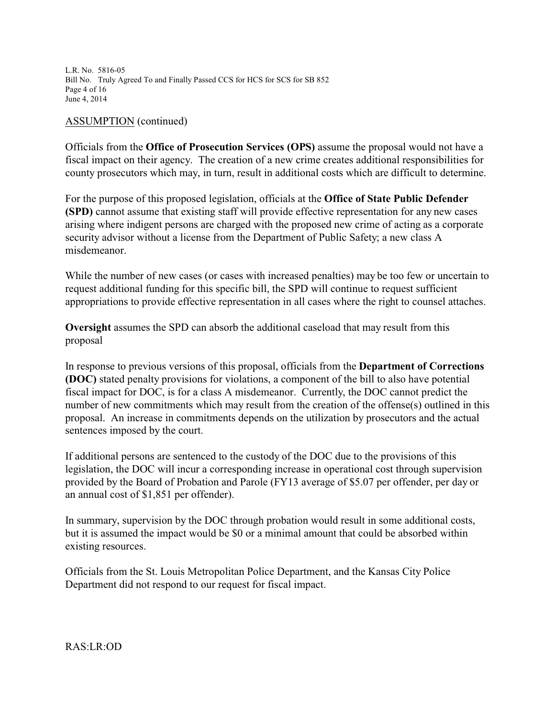L.R. No. 5816-05 Bill No. Truly Agreed To and Finally Passed CCS for HCS for SCS for SB 852 Page 4 of 16 June 4, 2014

### ASSUMPTION (continued)

Officials from the **Office of Prosecution Services (OPS)** assume the proposal would not have a fiscal impact on their agency. The creation of a new crime creates additional responsibilities for county prosecutors which may, in turn, result in additional costs which are difficult to determine.

For the purpose of this proposed legislation, officials at the **Office of State Public Defender (SPD)** cannot assume that existing staff will provide effective representation for any new cases arising where indigent persons are charged with the proposed new crime of acting as a corporate security advisor without a license from the Department of Public Safety; a new class A misdemeanor.

While the number of new cases (or cases with increased penalties) may be too few or uncertain to request additional funding for this specific bill, the SPD will continue to request sufficient appropriations to provide effective representation in all cases where the right to counsel attaches.

**Oversight** assumes the SPD can absorb the additional caseload that may result from this proposal

In response to previous versions of this proposal, officials from the **Department of Corrections (DOC)** stated penalty provisions for violations, a component of the bill to also have potential fiscal impact for DOC, is for a class A misdemeanor. Currently, the DOC cannot predict the number of new commitments which may result from the creation of the offense(s) outlined in this proposal. An increase in commitments depends on the utilization by prosecutors and the actual sentences imposed by the court.

If additional persons are sentenced to the custody of the DOC due to the provisions of this legislation, the DOC will incur a corresponding increase in operational cost through supervision provided by the Board of Probation and Parole (FY13 average of \$5.07 per offender, per day or an annual cost of \$1,851 per offender).

In summary, supervision by the DOC through probation would result in some additional costs, but it is assumed the impact would be \$0 or a minimal amount that could be absorbed within existing resources.

Officials from the St. Louis Metropolitan Police Department, and the Kansas City Police Department did not respond to our request for fiscal impact.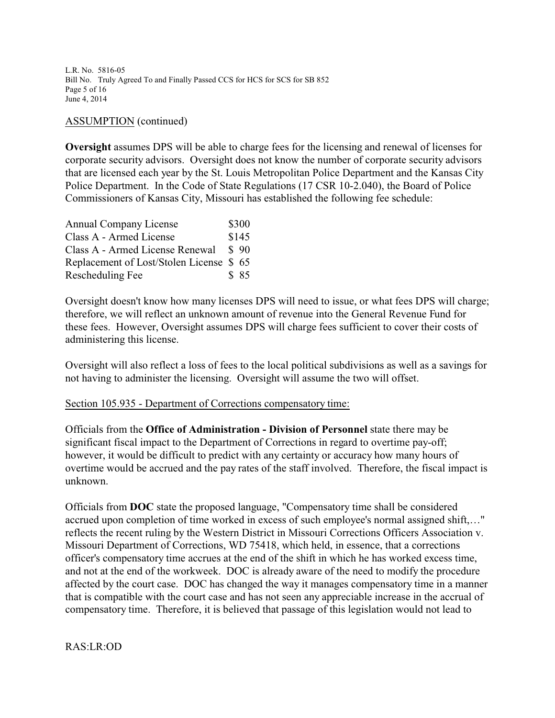L.R. No. 5816-05 Bill No. Truly Agreed To and Finally Passed CCS for HCS for SCS for SB 852 Page 5 of 16 June 4, 2014

# ASSUMPTION (continued)

**Oversight** assumes DPS will be able to charge fees for the licensing and renewal of licenses for corporate security advisors. Oversight does not know the number of corporate security advisors that are licensed each year by the St. Louis Metropolitan Police Department and the Kansas City Police Department. In the Code of State Regulations (17 CSR 10-2.040), the Board of Police Commissioners of Kansas City, Missouri has established the following fee schedule:

| <b>Annual Company License</b>           | \$300            |
|-----------------------------------------|------------------|
| Class A - Armed License                 | \$145            |
| Class A - Armed License Renewal         | $\frac{1}{2}$ 90 |
| Replacement of Lost/Stolen License \$65 |                  |
| Rescheduling Fee                        | \$ 85            |

Oversight doesn't know how many licenses DPS will need to issue, or what fees DPS will charge; therefore, we will reflect an unknown amount of revenue into the General Revenue Fund for these fees. However, Oversight assumes DPS will charge fees sufficient to cover their costs of administering this license.

Oversight will also reflect a loss of fees to the local political subdivisions as well as a savings for not having to administer the licensing. Oversight will assume the two will offset.

# Section 105.935 - Department of Corrections compensatory time:

Officials from the **Office of Administration - Division of Personnel** state there may be significant fiscal impact to the Department of Corrections in regard to overtime pay-off; however, it would be difficult to predict with any certainty or accuracy how many hours of overtime would be accrued and the pay rates of the staff involved. Therefore, the fiscal impact is unknown.

Officials from **DOC** state the proposed language, "Compensatory time shall be considered accrued upon completion of time worked in excess of such employee's normal assigned shift,…" reflects the recent ruling by the Western District in Missouri Corrections Officers Association v. Missouri Department of Corrections, WD 75418, which held, in essence, that a corrections officer's compensatory time accrues at the end of the shift in which he has worked excess time, and not at the end of the workweek. DOC is already aware of the need to modify the procedure affected by the court case. DOC has changed the way it manages compensatory time in a manner that is compatible with the court case and has not seen any appreciable increase in the accrual of compensatory time. Therefore, it is believed that passage of this legislation would not lead to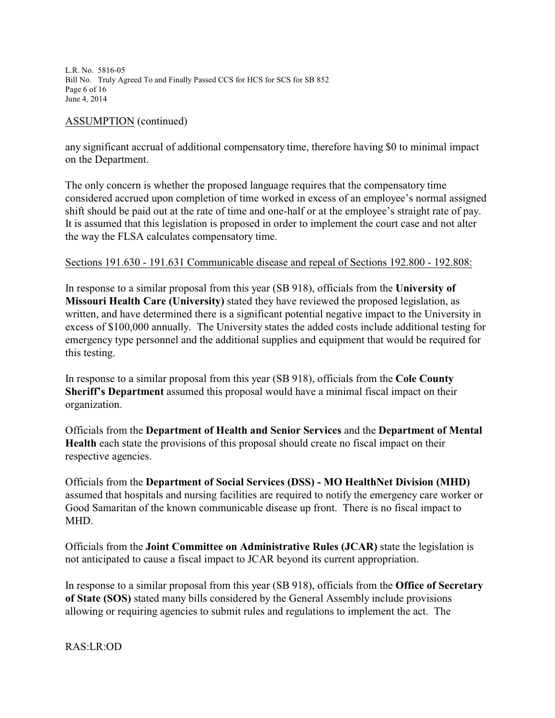L.R. No. 5816-05 Bill No. Truly Agreed To and Finally Passed CCS for HCS for SCS for SB 852 Page 6 of 16 June 4, 2014

# ASSUMPTION (continued)

any significant accrual of additional compensatory time, therefore having \$0 to minimal impact on the Department.

The only concern is whether the proposed language requires that the compensatory time considered accrued upon completion of time worked in excess of an employee's normal assigned shift should be paid out at the rate of time and one-half or at the employee's straight rate of pay. It is assumed that this legislation is proposed in order to implement the court case and not alter the way the FLSA calculates compensatory time.

# Sections 191.630 - 191.631 Communicable disease and repeal of Sections 192.800 - 192.808:

In response to a similar proposal from this year (SB 918), officials from the **University of Missouri Health Care (University)** stated they have reviewed the proposed legislation, as written, and have determined there is a significant potential negative impact to the University in excess of \$100,000 annually. The University states the added costs include additional testing for emergency type personnel and the additional supplies and equipment that would be required for this testing.

In response to a similar proposal from this year (SB 918), officials from the **Cole County Sheriff's Department** assumed this proposal would have a minimal fiscal impact on their organization.

Officials from the **Department of Health and Senior Services** and the **Department of Mental Health** each state the provisions of this proposal should create no fiscal impact on their respective agencies.

Officials from the **Department of Social Services (DSS) - MO HealthNet Division (MHD)** assumed that hospitals and nursing facilities are required to notify the emergency care worker or Good Samaritan of the known communicable disease up front. There is no fiscal impact to MHD.

Officials from the **Joint Committee on Administrative Rules (JCAR)** state the legislation is not anticipated to cause a fiscal impact to JCAR beyond its current appropriation.

In response to a similar proposal from this year (SB 918), officials from the **Office of Secretary of State (SOS)** stated many bills considered by the General Assembly include provisions allowing or requiring agencies to submit rules and regulations to implement the act. The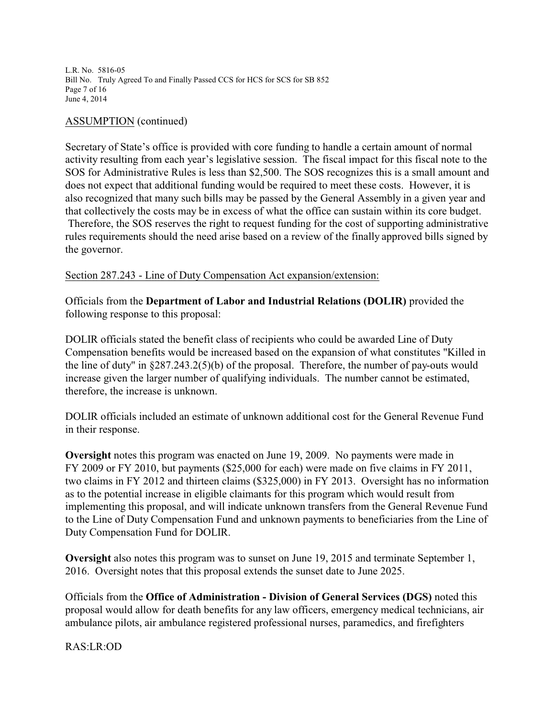L.R. No. 5816-05 Bill No. Truly Agreed To and Finally Passed CCS for HCS for SCS for SB 852 Page 7 of 16 June 4, 2014

### ASSUMPTION (continued)

Secretary of State's office is provided with core funding to handle a certain amount of normal activity resulting from each year's legislative session. The fiscal impact for this fiscal note to the SOS for Administrative Rules is less than \$2,500. The SOS recognizes this is a small amount and does not expect that additional funding would be required to meet these costs. However, it is also recognized that many such bills may be passed by the General Assembly in a given year and that collectively the costs may be in excess of what the office can sustain within its core budget. Therefore, the SOS reserves the right to request funding for the cost of supporting administrative rules requirements should the need arise based on a review of the finally approved bills signed by the governor.

#### Section 287.243 - Line of Duty Compensation Act expansion/extension:

Officials from the **Department of Labor and Industrial Relations (DOLIR)** provided the following response to this proposal:

DOLIR officials stated the benefit class of recipients who could be awarded Line of Duty Compensation benefits would be increased based on the expansion of what constitutes "Killed in the line of duty" in §287.243.2(5)(b) of the proposal. Therefore, the number of pay-outs would increase given the larger number of qualifying individuals. The number cannot be estimated, therefore, the increase is unknown.

DOLIR officials included an estimate of unknown additional cost for the General Revenue Fund in their response.

**Oversight** notes this program was enacted on June 19, 2009. No payments were made in FY 2009 or FY 2010, but payments (\$25,000 for each) were made on five claims in FY 2011, two claims in FY 2012 and thirteen claims (\$325,000) in FY 2013. Oversight has no information as to the potential increase in eligible claimants for this program which would result from implementing this proposal, and will indicate unknown transfers from the General Revenue Fund to the Line of Duty Compensation Fund and unknown payments to beneficiaries from the Line of Duty Compensation Fund for DOLIR.

**Oversight** also notes this program was to sunset on June 19, 2015 and terminate September 1, 2016. Oversight notes that this proposal extends the sunset date to June 2025.

Officials from the **Office of Administration - Division of General Services (DGS)** noted this proposal would allow for death benefits for any law officers, emergency medical technicians, air ambulance pilots, air ambulance registered professional nurses, paramedics, and firefighters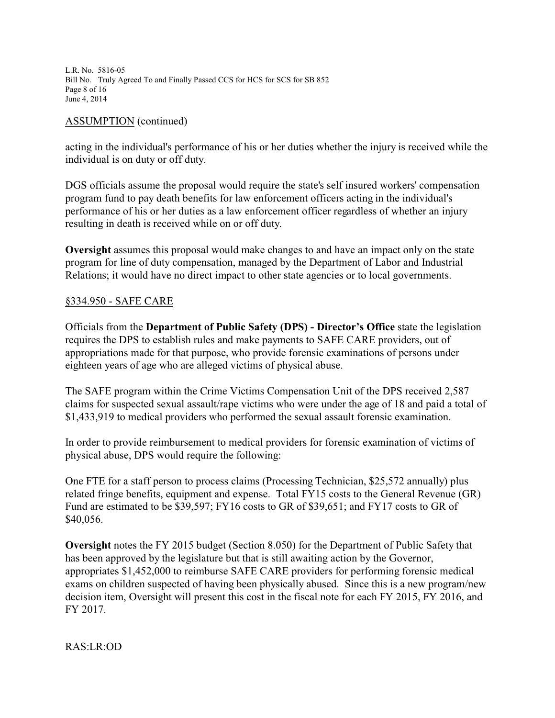L.R. No. 5816-05 Bill No. Truly Agreed To and Finally Passed CCS for HCS for SCS for SB 852 Page 8 of 16 June 4, 2014

# ASSUMPTION (continued)

acting in the individual's performance of his or her duties whether the injury is received while the individual is on duty or off duty.

DGS officials assume the proposal would require the state's self insured workers' compensation program fund to pay death benefits for law enforcement officers acting in the individual's performance of his or her duties as a law enforcement officer regardless of whether an injury resulting in death is received while on or off duty.

**Oversight** assumes this proposal would make changes to and have an impact only on the state program for line of duty compensation, managed by the Department of Labor and Industrial Relations; it would have no direct impact to other state agencies or to local governments.

# §334.950 - SAFE CARE

Officials from the **Department of Public Safety (DPS) - Director's Office** state the legislation requires the DPS to establish rules and make payments to SAFE CARE providers, out of appropriations made for that purpose, who provide forensic examinations of persons under eighteen years of age who are alleged victims of physical abuse.

The SAFE program within the Crime Victims Compensation Unit of the DPS received 2,587 claims for suspected sexual assault/rape victims who were under the age of 18 and paid a total of \$1,433,919 to medical providers who performed the sexual assault forensic examination.

In order to provide reimbursement to medical providers for forensic examination of victims of physical abuse, DPS would require the following:

One FTE for a staff person to process claims (Processing Technician, \$25,572 annually) plus related fringe benefits, equipment and expense. Total FY15 costs to the General Revenue (GR) Fund are estimated to be \$39,597; FY16 costs to GR of \$39,651; and FY17 costs to GR of \$40,056.

**Oversight** notes the FY 2015 budget (Section 8.050) for the Department of Public Safety that has been approved by the legislature but that is still awaiting action by the Governor, appropriates \$1,452,000 to reimburse SAFE CARE providers for performing forensic medical exams on children suspected of having been physically abused. Since this is a new program/new decision item, Oversight will present this cost in the fiscal note for each FY 2015, FY 2016, and FY 2017.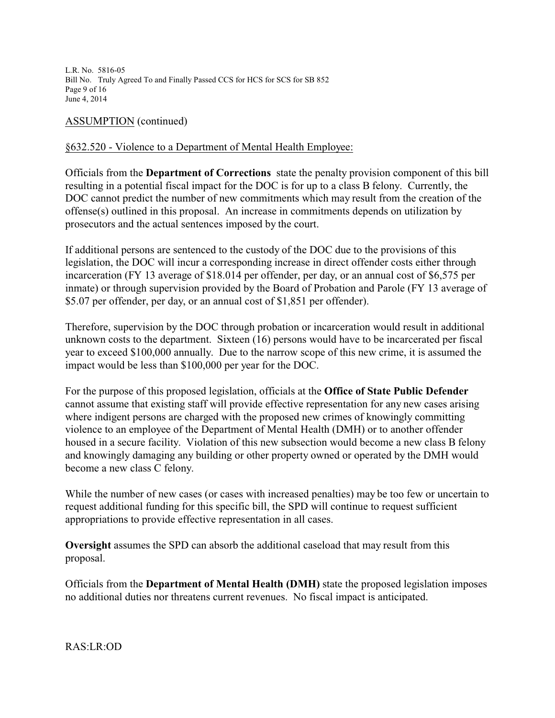L.R. No. 5816-05 Bill No. Truly Agreed To and Finally Passed CCS for HCS for SCS for SB 852 Page 9 of 16 June 4, 2014

# ASSUMPTION (continued)

# §632.520 - Violence to a Department of Mental Health Employee:

Officials from the **Department of Corrections** state the penalty provision component of this bill resulting in a potential fiscal impact for the DOC is for up to a class B felony. Currently, the DOC cannot predict the number of new commitments which may result from the creation of the offense(s) outlined in this proposal. An increase in commitments depends on utilization by prosecutors and the actual sentences imposed by the court.

If additional persons are sentenced to the custody of the DOC due to the provisions of this legislation, the DOC will incur a corresponding increase in direct offender costs either through incarceration (FY 13 average of \$18.014 per offender, per day, or an annual cost of \$6,575 per inmate) or through supervision provided by the Board of Probation and Parole (FY 13 average of \$5.07 per offender, per day, or an annual cost of \$1,851 per offender).

Therefore, supervision by the DOC through probation or incarceration would result in additional unknown costs to the department. Sixteen (16) persons would have to be incarcerated per fiscal year to exceed \$100,000 annually. Due to the narrow scope of this new crime, it is assumed the impact would be less than \$100,000 per year for the DOC.

For the purpose of this proposed legislation, officials at the **Office of State Public Defender** cannot assume that existing staff will provide effective representation for any new cases arising where indigent persons are charged with the proposed new crimes of knowingly committing violence to an employee of the Department of Mental Health (DMH) or to another offender housed in a secure facility. Violation of this new subsection would become a new class B felony and knowingly damaging any building or other property owned or operated by the DMH would become a new class C felony.

While the number of new cases (or cases with increased penalties) may be too few or uncertain to request additional funding for this specific bill, the SPD will continue to request sufficient appropriations to provide effective representation in all cases.

**Oversight** assumes the SPD can absorb the additional caseload that may result from this proposal.

Officials from the **Department of Mental Health (DMH)** state the proposed legislation imposes no additional duties nor threatens current revenues. No fiscal impact is anticipated.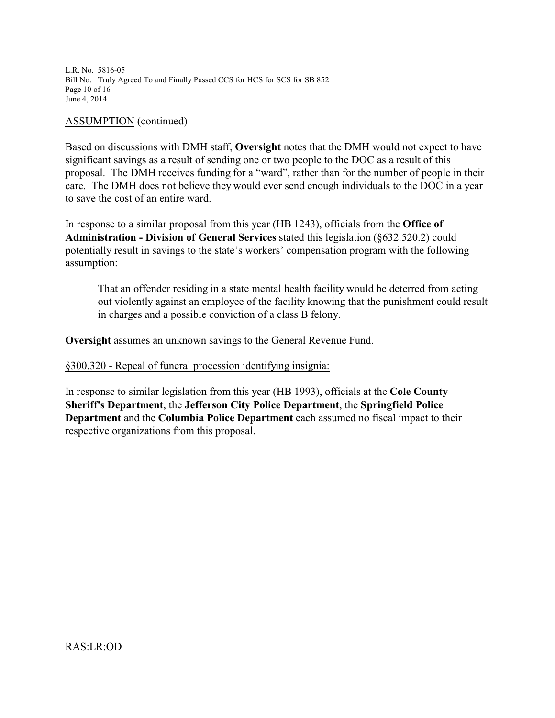L.R. No. 5816-05 Bill No. Truly Agreed To and Finally Passed CCS for HCS for SCS for SB 852 Page 10 of 16 June 4, 2014

### ASSUMPTION (continued)

Based on discussions with DMH staff, **Oversight** notes that the DMH would not expect to have significant savings as a result of sending one or two people to the DOC as a result of this proposal. The DMH receives funding for a "ward", rather than for the number of people in their care. The DMH does not believe they would ever send enough individuals to the DOC in a year to save the cost of an entire ward.

In response to a similar proposal from this year (HB 1243), officials from the **Office of Administration - Division of General Services** stated this legislation (§632.520.2) could potentially result in savings to the state's workers' compensation program with the following assumption:

That an offender residing in a state mental health facility would be deterred from acting out violently against an employee of the facility knowing that the punishment could result in charges and a possible conviction of a class B felony.

**Oversight** assumes an unknown savings to the General Revenue Fund.

# §300.320 - Repeal of funeral procession identifying insignia:

In response to similar legislation from this year (HB 1993), officials at the **Cole County Sheriff's Department**, the **Jefferson City Police Department**, the **Springfield Police Department** and the **Columbia Police Department** each assumed no fiscal impact to their respective organizations from this proposal.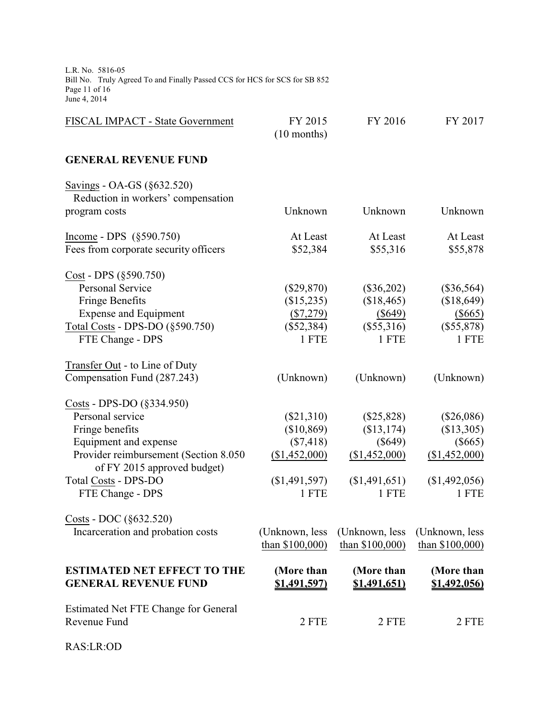L.R. No. 5816-05 Bill No. Truly Agreed To and Finally Passed CCS for HCS for SCS for SB 852 Page 11 of 16 June 4, 2014

| FISCAL IMPACT - State Government                                     | FY 2015<br>$(10$ months) | FY 2016             | FY 2017         |
|----------------------------------------------------------------------|--------------------------|---------------------|-----------------|
| <b>GENERAL REVENUE FUND</b>                                          |                          |                     |                 |
| Savings - OA-GS (§632.520)                                           |                          |                     |                 |
| Reduction in workers' compensation                                   | Unknown                  | Unknown             | Unknown         |
| program costs                                                        |                          |                     |                 |
| Income - DPS $(\S 590.750)$                                          | At Least                 | At Least            | At Least        |
| Fees from corporate security officers                                | \$52,384                 | \$55,316            | \$55,878        |
| Cost - DPS (§590.750)                                                |                          |                     |                 |
| <b>Personal Service</b>                                              | $(\$29,870)$             | $(\$36,202)$        | $(\$36,564)$    |
| <b>Fringe Benefits</b>                                               | (\$15,235)               | (\$18,465)          | (\$18,649)      |
| <b>Expense and Equipment</b>                                         | (\$7,279)                | $(\$649)$           | (\$665)         |
| Total Costs - DPS-DO (§590.750)                                      | $(\$52,384)$             | $(\$55,316)$        | $(\$55,878)$    |
| FTE Change - DPS                                                     | 1 FTE                    | 1 FTE               | 1 FTE           |
| Transfer Out - to Line of Duty                                       |                          |                     |                 |
| Compensation Fund (287.243)                                          | (Unknown)                | (Unknown)           | (Unknown)       |
| Costs - DPS-DO (§334.950)                                            |                          |                     |                 |
| Personal service                                                     | $(\$21,310)$             | $(\$25,828)$        | $(\$26,086)$    |
| Fringe benefits                                                      | (\$10,869)               | (\$13,174)          | (\$13,305)      |
| Equipment and expense                                                | $(\$7,418)$              | $(\$649)$           | $(\$665)$       |
| Provider reimbursement (Section 8.050<br>of FY 2015 approved budget) | (\$1,452,000)            | (\$1,452,000)       | (\$1,452,000)   |
| <b>Total Costs - DPS-DO</b>                                          | (\$1,491,597)            | (\$1,491,651)       | (\$1,492,056)   |
| FTE Change - DPS                                                     | 1 FTE                    | 1 FTE               | 1 FTE           |
| Costs - DOC (§632.520)                                               |                          |                     |                 |
| Incarceration and probation costs                                    | (Unknown, less           | (Unknown, less      | (Unknown, less  |
|                                                                      | than \$100,000)          | than \$100,000)     | than \$100,000) |
| <b>ESTIMATED NET EFFECT TO THE</b>                                   | (More than               | (More than          | (More than      |
| <b>GENERAL REVENUE FUND</b>                                          | <u>\$1,491,597)</u>      | <u>\$1,491,651)</u> | \$1,492,056)    |
| Estimated Net FTE Change for General                                 |                          |                     |                 |
| Revenue Fund                                                         | 2 FTE                    | 2 FTE               | 2 FTE           |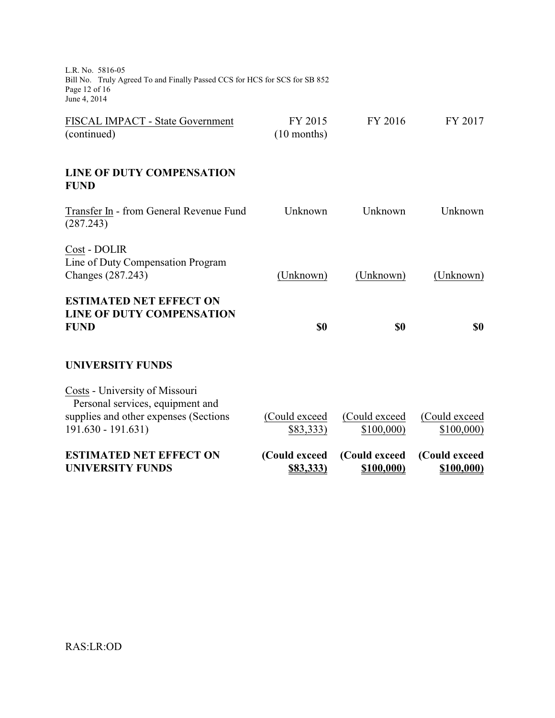L.R. No. 5816-05 Bill No. Truly Agreed To and Finally Passed CCS for HCS for SCS for SB 852 Page 12 of 16 June 4, 2014

| <b>ESTIMATED NET EFFECT ON</b><br><b>UNIVERSITY FUNDS</b>                                                                          | (Could exceed<br>\$83,333) | (Could exceed<br>\$100,000) | (Could exceed<br>\$100,000) |
|------------------------------------------------------------------------------------------------------------------------------------|----------------------------|-----------------------------|-----------------------------|
| Costs - University of Missouri<br>Personal services, equipment and<br>supplies and other expenses (Sections<br>$191.630 - 191.631$ | (Could exceed<br>\$83,333) | (Could exceed<br>\$100,000  | (Could exceed<br>\$100,000  |
| <b>UNIVERSITY FUNDS</b>                                                                                                            |                            |                             |                             |
| <b>ESTIMATED NET EFFECT ON</b><br><b>LINE OF DUTY COMPENSATION</b><br><b>FUND</b>                                                  | \$0                        | \$0                         | \$0                         |
| Cost - DOLIR<br>Line of Duty Compensation Program<br>Changes (287.243)                                                             | (Unknown)                  | (Unknown)                   | (Unknown)                   |
| Transfer In - from General Revenue Fund<br>(287.243)                                                                               | Unknown                    | Unknown                     | Unknown                     |
| <b>LINE OF DUTY COMPENSATION</b><br><b>FUND</b>                                                                                    |                            |                             |                             |
| FISCAL IMPACT - State Government<br>(continued)                                                                                    | FY 2015<br>$(10$ months)   | FY 2016                     | FY 2017                     |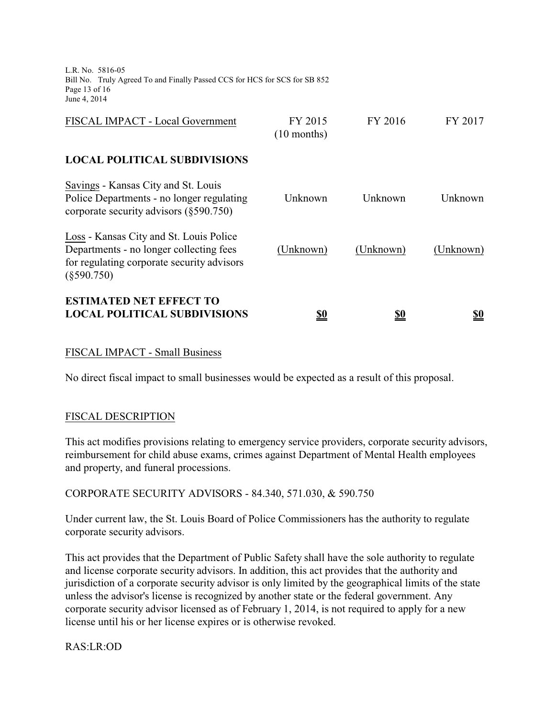L.R. No. 5816-05 Bill No. Truly Agreed To and Finally Passed CCS for HCS for SCS for SB 852 Page 13 of 16 June 4, 2014

| (Unknown)                | (Unknown) | (Unknown) |
|--------------------------|-----------|-----------|
| Unknown                  | Unknown   | Unknown   |
|                          |           |           |
| FY 2015<br>$(10$ months) | FY 2016   | FY 2017   |
|                          |           |           |

# FISCAL IMPACT - Small Business

No direct fiscal impact to small businesses would be expected as a result of this proposal.

# FISCAL DESCRIPTION

This act modifies provisions relating to emergency service providers, corporate security advisors, reimbursement for child abuse exams, crimes against Department of Mental Health employees and property, and funeral processions.

CORPORATE SECURITY ADVISORS - 84.340, 571.030, & 590.750

Under current law, the St. Louis Board of Police Commissioners has the authority to regulate corporate security advisors.

This act provides that the Department of Public Safety shall have the sole authority to regulate and license corporate security advisors. In addition, this act provides that the authority and jurisdiction of a corporate security advisor is only limited by the geographical limits of the state unless the advisor's license is recognized by another state or the federal government. Any corporate security advisor licensed as of February 1, 2014, is not required to apply for a new license until his or her license expires or is otherwise revoked.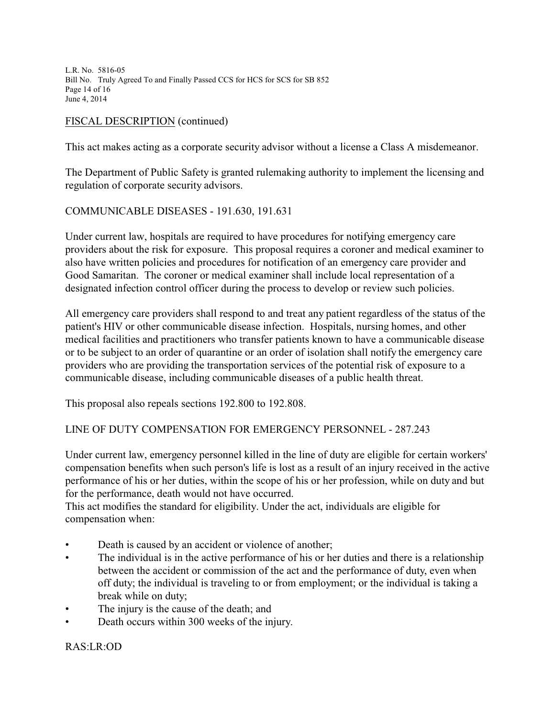L.R. No. 5816-05 Bill No. Truly Agreed To and Finally Passed CCS for HCS for SCS for SB 852 Page 14 of 16 June 4, 2014

# FISCAL DESCRIPTION (continued)

This act makes acting as a corporate security advisor without a license a Class A misdemeanor.

The Department of Public Safety is granted rulemaking authority to implement the licensing and regulation of corporate security advisors.

# COMMUNICABLE DISEASES - 191.630, 191.631

Under current law, hospitals are required to have procedures for notifying emergency care providers about the risk for exposure. This proposal requires a coroner and medical examiner to also have written policies and procedures for notification of an emergency care provider and Good Samaritan. The coroner or medical examiner shall include local representation of a designated infection control officer during the process to develop or review such policies.

All emergency care providers shall respond to and treat any patient regardless of the status of the patient's HIV or other communicable disease infection. Hospitals, nursing homes, and other medical facilities and practitioners who transfer patients known to have a communicable disease or to be subject to an order of quarantine or an order of isolation shall notify the emergency care providers who are providing the transportation services of the potential risk of exposure to a communicable disease, including communicable diseases of a public health threat.

This proposal also repeals sections 192.800 to 192.808.

# LINE OF DUTY COMPENSATION FOR EMERGENCY PERSONNEL - 287.243

Under current law, emergency personnel killed in the line of duty are eligible for certain workers' compensation benefits when such person's life is lost as a result of an injury received in the active performance of his or her duties, within the scope of his or her profession, while on duty and but for the performance, death would not have occurred.

This act modifies the standard for eligibility. Under the act, individuals are eligible for compensation when:

- Death is caused by an accident or violence of another;
- The individual is in the active performance of his or her duties and there is a relationship between the accident or commission of the act and the performance of duty, even when off duty; the individual is traveling to or from employment; or the individual is taking a break while on duty;
- The injury is the cause of the death; and
- Death occurs within 300 weeks of the injury.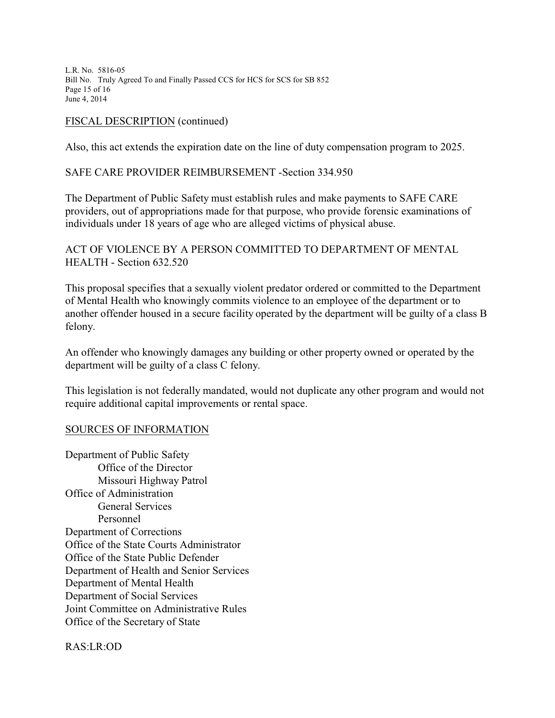L.R. No. 5816-05 Bill No. Truly Agreed To and Finally Passed CCS for HCS for SCS for SB 852 Page 15 of 16 June 4, 2014

# FISCAL DESCRIPTION (continued)

Also, this act extends the expiration date on the line of duty compensation program to 2025.

# SAFE CARE PROVIDER REIMBURSEMENT -Section 334.950

The Department of Public Safety must establish rules and make payments to SAFE CARE providers, out of appropriations made for that purpose, who provide forensic examinations of individuals under 18 years of age who are alleged victims of physical abuse.

ACT OF VIOLENCE BY A PERSON COMMITTED TO DEPARTMENT OF MENTAL HEALTH - Section 632.520

This proposal specifies that a sexually violent predator ordered or committed to the Department of Mental Health who knowingly commits violence to an employee of the department or to another offender housed in a secure facility operated by the department will be guilty of a class B felony.

An offender who knowingly damages any building or other property owned or operated by the department will be guilty of a class C felony.

This legislation is not federally mandated, would not duplicate any other program and would not require additional capital improvements or rental space.

# SOURCES OF INFORMATION

Department of Public Safety Office of the Director Missouri Highway Patrol Office of Administration General Services Personnel Department of Corrections Office of the State Courts Administrator Office of the State Public Defender Department of Health and Senior Services Department of Mental Health Department of Social Services Joint Committee on Administrative Rules Office of the Secretary of State